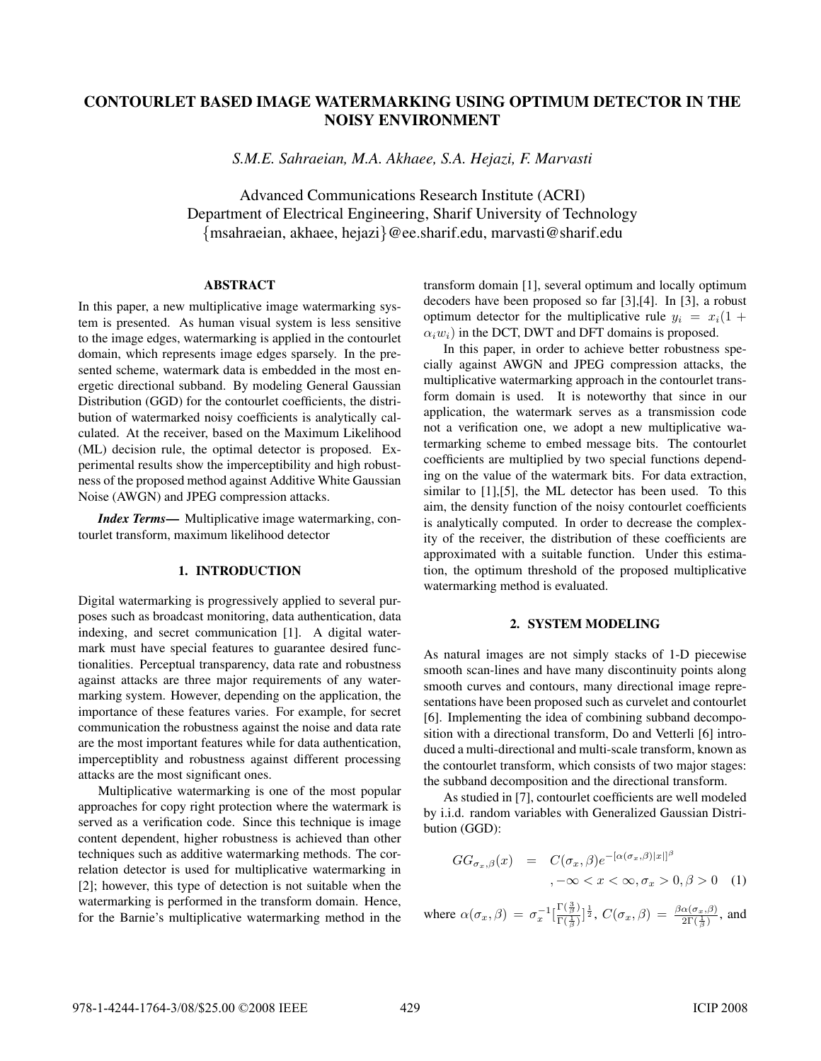# CONTOURLET BASED IMAGE WATERMARKING USING OPTIMUM DETECTOR IN THE NOISY ENVIRONMENT

*S.M.E. Sahraeian, M.A. Akhaee, S.A. Hejazi, F. Marvasti*

Advanced Communications Research Institute (ACRI) Department of Electrical Engineering, Sharif University of Technology {msahraeian, akhaee, hejazi}@ee.sharif.edu, marvasti@sharif.edu

## ABSTRACT

In this paper, a new multiplicative image watermarking system is presented. As human visual system is less sensitive to the image edges, watermarking is applied in the contourlet domain, which represents image edges sparsely. In the presented scheme, watermark data is embedded in the most energetic directional subband. By modeling General Gaussian Distribution (GGD) for the contourlet coefficients, the distribution of watermarked noisy coefficients is analytically calculated. At the receiver, based on the Maximum Likelihood (ML) decision rule, the optimal detector is proposed. Experimental results show the imperceptibility and high robustness of the proposed method against Additive White Gaussian Noise (AWGN) and JPEG compression attacks.

*Index Terms*— Multiplicative image watermarking, contourlet transform, maximum likelihood detector

# 1. INTRODUCTION

Digital watermarking is progressively applied to several purposes such as broadcast monitoring, data authentication, data indexing, and secret communication [1]. A digital watermark must have special features to guarantee desired functionalities. Perceptual transparency, data rate and robustness against attacks are three major requirements of any watermarking system. However, depending on the application, the importance of these features varies. For example, for secret communication the robustness against the noise and data rate are the most important features while for data authentication, imperceptiblity and robustness against different processing attacks are the most significant ones.

Multiplicative watermarking is one of the most popular approaches for copy right protection where the watermark is served as a verification code. Since this technique is image content dependent, higher robustness is achieved than other techniques such as additive watermarking methods. The correlation detector is used for multiplicative watermarking in [2]; however, this type of detection is not suitable when the watermarking is performed in the transform domain. Hence, for the Barnie's multiplicative watermarking method in the transform domain [1], several optimum and locally optimum decoders have been proposed so far [3],[4]. In [3], a robust optimum detector for the multiplicative rule  $y_i = x_i(1 +$  $\alpha_i w_i$ ) in the DCT, DWT and DFT domains is proposed.

In this paper, in order to achieve better robustness specially against AWGN and JPEG compression attacks, the multiplicative watermarking approach in the contourlet transform domain is used. It is noteworthy that since in our application, the watermark serves as a transmission code not a verification one, we adopt a new multiplicative watermarking scheme to embed message bits. The contourlet coefficients are multiplied by two special functions depending on the value of the watermark bits. For data extraction, similar to [1],[5], the ML detector has been used. To this aim, the density function of the noisy contourlet coefficients is analytically computed. In order to decrease the complexity of the receiver, the distribution of these coefficients are approximated with a suitable function. Under this estimation, the optimum threshold of the proposed multiplicative watermarking method is evaluated.

# 2. SYSTEM MODELING

As natural images are not simply stacks of 1-D piecewise smooth scan-lines and have many discontinuity points along smooth curves and contours, many directional image representations have been proposed such as curvelet and contourlet [6]. Implementing the idea of combining subband decomposition with a directional transform, Do and Vetterli [6] introduced a multi-directional and multi-scale transform, known as the contourlet transform, which consists of two major stages: the subband decomposition and the directional transform.

As studied in [7], contourlet coefficients are well modeled by i.i.d. random variables with Generalized Gaussian Distribution (GGD):

$$
GG_{\sigma_x,\beta}(x) = C(\sigma_x, \beta) e^{-\left[\alpha(\sigma_x, \beta)|x|\right]^\beta},
$$
  

$$
,\n-\infty < x < \infty, \sigma_x > 0, \beta > 0 \quad (1)
$$

where 
$$
\alpha(\sigma_x, \beta) = \sigma_x^{-1} \left[ \frac{\Gamma(\frac{3}{\beta})}{\Gamma(\frac{1}{\beta})} \right]^{\frac{1}{2}}
$$
,  $C(\sigma_x, \beta) = \frac{\beta \alpha(\sigma_x, \beta)}{2\Gamma(\frac{1}{\beta})}$ , and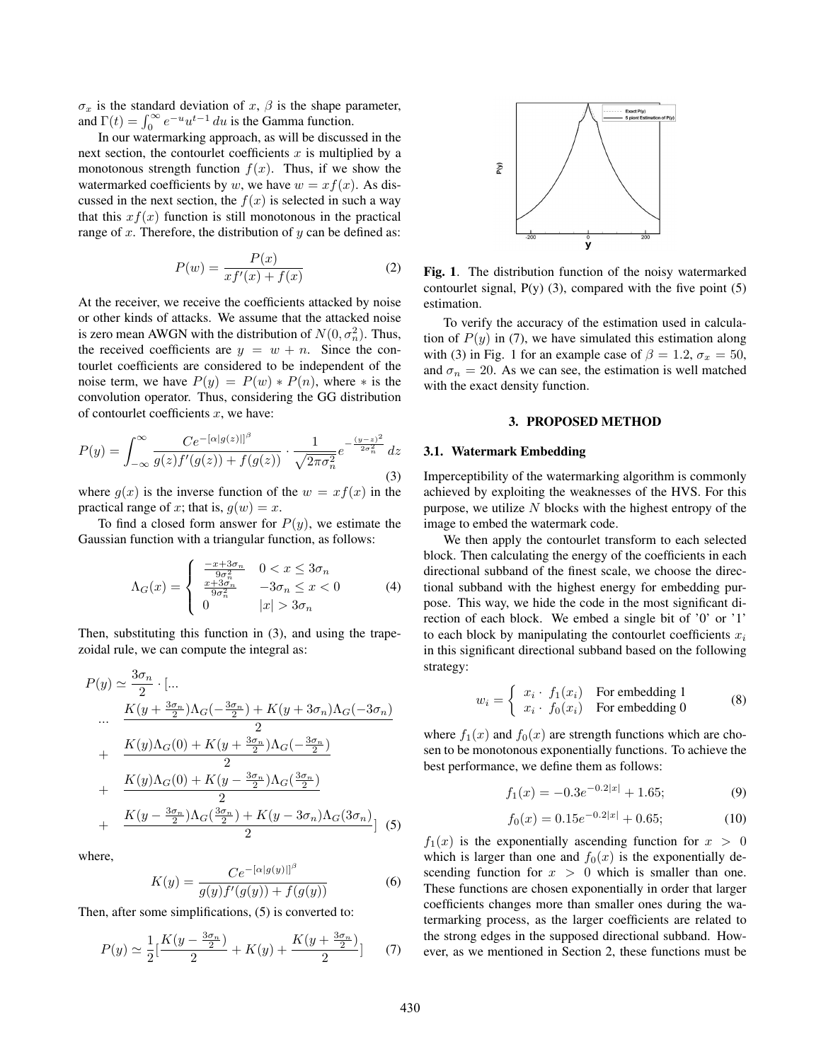$\sigma_x$  is the standard deviation of x,  $\beta$  is the shape parameter, and  $\Gamma(t) = \int_0^\infty e^{-u} u^{t-1} du$  is the Gamma function.

In our watermarking approach, as will be discussed in the next section, the contourlet coefficients  $x$  is multiplied by a monotonous strength function  $f(x)$ . Thus, if we show the watermarked coefficients by w, we have  $w = xf(x)$ . As discussed in the next section, the  $f(x)$  is selected in such a way that this  $xf(x)$  function is still monotonous in the practical range of  $x$ . Therefore, the distribution of  $y$  can be defined as:

$$
P(w) = \frac{P(x)}{xf'(x) + f(x)}\tag{2}
$$

At the receiver, we receive the coefficients attacked by noise or other kinds of attacks. We assume that the attacked noise is zero mean AWGN with the distribution of  $N(0, \sigma_n^2)$ . Thus,<br>the received coefficients are  $u = uv + n$ . Since the conthe received coefficients are  $y = w + n$ . Since the contourlet coefficients are considered to be independent of the noise term, we have  $P(y) = P(w) * P(n)$ , where  $*$  is the convolution operator. Thus, considering the GG distribution of contourlet coefficients  $x$ , we have:

$$
P(y) = \int_{-\infty}^{\infty} \frac{Ce^{-\left[\alpha|g(z)\right]l^{\beta}}}{g(z)f'(g(z)) + f(g(z))} \cdot \frac{1}{\sqrt{2\pi\sigma_n^2}} e^{-\frac{(y-z)^2}{2\sigma_n^2}} dz
$$
\n(3)

where  $g(x)$  is the inverse function of the  $w = xf(x)$  in the practical range of x; that is,  $g(w) = x$ .

To find a closed form answer for  $P(y)$ , we estimate the Gaussian function with a triangular function, as follows:

$$
\Lambda_G(x) = \begin{cases}\n\frac{-x + 3\sigma_n}{9\sigma_n^2} & 0 < x \le 3\sigma_n \\
\frac{x + 3\sigma_n}{9\sigma_n^2} & -3\sigma_n \le x < 0 \\
0 & |x| > 3\sigma_n\n\end{cases} \tag{4}
$$

Then, substituting this function in (3), and using the trapezoidal rule, we can compute the integral as:

$$
P(y) \simeq \frac{3\sigma_n}{2} \cdot \left[ \dots \right]
$$
  
\n
$$
\therefore \frac{K(y + \frac{3\sigma_n}{2})\Lambda_G(-\frac{3\sigma_n}{2}) + K(y + 3\sigma_n)\Lambda_G(-3\sigma_n)}{2}
$$
  
\n
$$
+ \frac{K(y)\Lambda_G(0) + K(y + \frac{3\sigma_n}{2})\Lambda_G(-\frac{3\sigma_n}{2})}{2}
$$
  
\n
$$
+ \frac{K(y)\Lambda_G(0) + K(y - \frac{3\sigma_n}{2})\Lambda_G(\frac{3\sigma_n}{2})}{2}
$$
  
\n
$$
+ \frac{K(y - \frac{3\sigma_n}{2})\Lambda_G(\frac{3\sigma_n}{2}) + K(y - 3\sigma_n)\Lambda_G(3\sigma_n)}{2} \right] (5)
$$

where,

$$
K(y) = \frac{Ce^{-[\alpha|g(y)|]^{\beta}}}{g(y)f'(g(y)) + f(g(y))}
$$
(6)

Then, after some simplifications, (5) is converted to:

$$
P(y) \simeq \frac{1}{2} \left[ \frac{K(y - \frac{3\sigma_n}{2})}{2} + K(y) + \frac{K(y + \frac{3\sigma_n}{2})}{2} \right] \tag{7}
$$



Fig. 1. The distribution function of the noisy watermarked contourlet signal,  $P(y)$  (3), compared with the five point  $(5)$ estimation.

To verify the accuracy of the estimation used in calculation of  $P(y)$  in (7), we have simulated this estimation along with (3) in Fig. 1 for an example case of  $\beta = 1.2$ ,  $\sigma_x = 50$ , and  $\sigma_n = 20$ . As we can see, the estimation is well matched with the exact density function.

# 3. PROPOSED METHOD

#### 3.1. Watermark Embedding

Imperceptibility of the watermarking algorithm is commonly achieved by exploiting the weaknesses of the HVS. For this purpose, we utilize  $N$  blocks with the highest entropy of the image to embed the watermark code.

We then apply the contourlet transform to each selected block. Then calculating the energy of the coefficients in each directional subband of the finest scale, we choose the directional subband with the highest energy for embedding purpose. This way, we hide the code in the most significant direction of each block. We embed a single bit of '0' or '1' to each block by manipulating the contourlet coefficients  $x_i$ in this significant directional subband based on the following strategy:

$$
w_i = \begin{cases} x_i \cdot f_1(x_i) & \text{For embedding 1} \\ x_i \cdot f_0(x_i) & \text{For embedding 0} \end{cases}
$$
 (8)

where  $f_1(x)$  and  $f_0(x)$  are strength functions which are chosen to be monotonous exponentially functions. To achieve the best performance, we define them as follows:

$$
f_1(x) = -0.3e^{-0.2|x|} + 1.65; \tag{9}
$$

$$
f_0(x) = 0.15e^{-0.2|x|} + 0.65; \tag{10}
$$

 $f_1(x)$  is the exponentially ascending function for  $x > 0$ which is larger than one and  $f_0(x)$  is the exponentially descending function for  $x > 0$  which is smaller than one. These functions are chosen exponentially in order that larger coefficients changes more than smaller ones during the watermarking process, as the larger coefficients are related to the strong edges in the supposed directional subband. However, as we mentioned in Section 2, these functions must be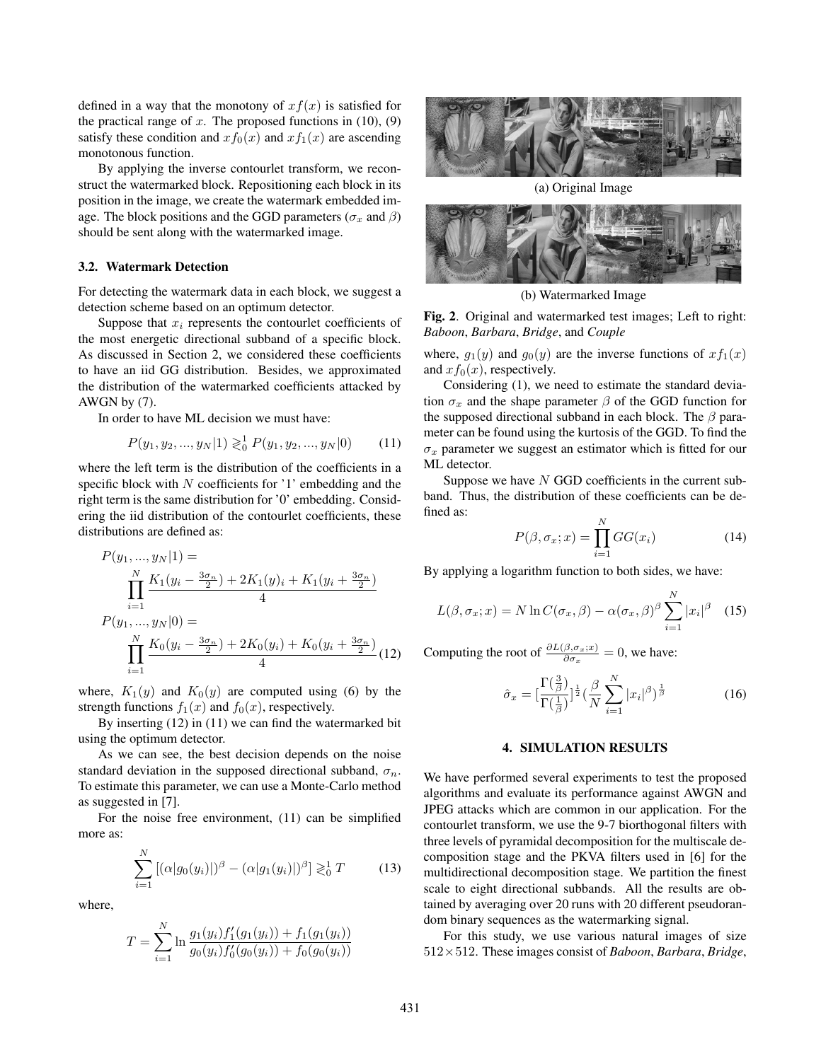defined in a way that the monotony of  $xf(x)$  is satisfied for the practical range of  $x$ . The proposed functions in (10), (9) satisfy these condition and  $xf_0(x)$  and  $xf_1(x)$  are ascending monotonous function.

By applying the inverse contourlet transform, we reconstruct the watermarked block. Repositioning each block in its position in the image, we create the watermark embedded image. The block positions and the GGD parameters ( $\sigma_x$  and  $\beta$ ) should be sent along with the watermarked image.

## 3.2. Watermark Detection

For detecting the watermark data in each block, we suggest a detection scheme based on an optimum detector.

Suppose that  $x_i$  represents the contourlet coefficients of the most energetic directional subband of a specific block. As discussed in Section 2, we considered these coefficients to have an iid GG distribution. Besides, we approximated the distribution of the watermarked coefficients attacked by AWGN by (7).

In order to have ML decision we must have:

$$
P(y_1, y_2, ..., y_N | 1) \gtrless_0^1 P(y_1, y_2, ..., y_N | 0)
$$
 (11)

where the left term is the distribution of the coefficients in a specific block with  $N$  coefficients for '1' embedding and the right term is the same distribution for '0' embedding. Considering the iid distribution of the contourlet coefficients, these distributions are defined as:

$$
P(y_1, ..., y_N|1) =
$$
  
\n
$$
\prod_{i=1}^{N} \frac{K_1(y_i - \frac{3\sigma_n}{2}) + 2K_1(y_i + K_1(y_i + \frac{3\sigma_n}{2})}{4}
$$
  
\n
$$
P(y_1, ..., y_N|0) =
$$
  
\n
$$
\prod_{i=1}^{N} \frac{K_0(y_i - \frac{3\sigma_n}{2}) + 2K_0(y_i) + K_0(y_i + \frac{3\sigma_n}{2})}{4}
$$
(12)

where,  $K_1(y)$  and  $K_0(y)$  are computed using (6) by the strength functions  $f_1(x)$  and  $f_0(x)$ , respectively.

By inserting (12) in (11) we can find the watermarked bit using the optimum detector.

As we can see, the best decision depends on the noise standard deviation in the supposed directional subband,  $\sigma_n$ . To estimate this parameter, we can use a Monte-Carlo method as suggested in [7].

For the noise free environment, (11) can be simplified more as:

$$
\sum_{i=1}^{N} [(\alpha|g_0(y_i)|)^{\beta} - (\alpha|g_1(y_i)|)^{\beta}] \gtrless_0^1 T
$$
 (13)

where,

$$
T = \sum_{i=1}^{N} \ln \frac{g_1(y_i) f_1'(g_1(y_i)) + f_1(g_1(y_i))}{g_0(y_i) f_0'(g_0(y_i)) + f_0(g_0(y_i))}
$$



(a) Original Image



(b) Watermarked Image

Fig. 2. Original and watermarked test images; Left to right: *Baboon*, *Barbara*, *Bridge*, and *Couple*

where,  $g_1(y)$  and  $g_0(y)$  are the inverse functions of  $xf_1(x)$ and  $xf_0(x)$ , respectively.

Considering (1), we need to estimate the standard deviation  $\sigma_x$  and the shape parameter  $\beta$  of the GGD function for the supposed directional subband in each block. The  $\beta$  parameter can be found using the kurtosis of the GGD. To find the  $\sigma_x$  parameter we suggest an estimator which is fitted for our ML detector.

Suppose we have  $N$  GGD coefficients in the current subband. Thus, the distribution of these coefficients can be defined as:

$$
P(\beta, \sigma_x; x) = \prod_{i=1}^{N} GG(x_i)
$$
 (14)

By applying a logarithm function to both sides, we have:

$$
L(\beta, \sigma_x; x) = N \ln C(\sigma_x, \beta) - \alpha(\sigma_x, \beta)^{\beta} \sum_{i=1}^{N} |x_i|^{\beta}
$$
 (15)

Computing the root of  $\frac{\partial L(\beta, \sigma_x; x)}{\partial \sigma_x} = 0$ , we have:

$$
\hat{\sigma}_x = \left[\frac{\Gamma(\frac{3}{\beta})}{\Gamma(\frac{1}{\beta})}\right]^{\frac{1}{2}} \left(\frac{\beta}{N} \sum_{i=1}^N |x_i|^{\beta}\right)^{\frac{1}{\beta}}
$$
(16)

# 4. SIMULATION RESULTS

We have performed several experiments to test the proposed algorithms and evaluate its performance against AWGN and JPEG attacks which are common in our application. For the contourlet transform, we use the 9-7 biorthogonal filters with three levels of pyramidal decomposition for the multiscale decomposition stage and the PKVA filters used in [6] for the multidirectional decomposition stage. We partition the finest scale to eight directional subbands. All the results are obtained by averaging over 20 runs with 20 different pseudorandom binary sequences as the watermarking signal.

For this study, we use various natural images of size 512×512. These images consist of *Baboon*, *Barbara*, *Bridge*,